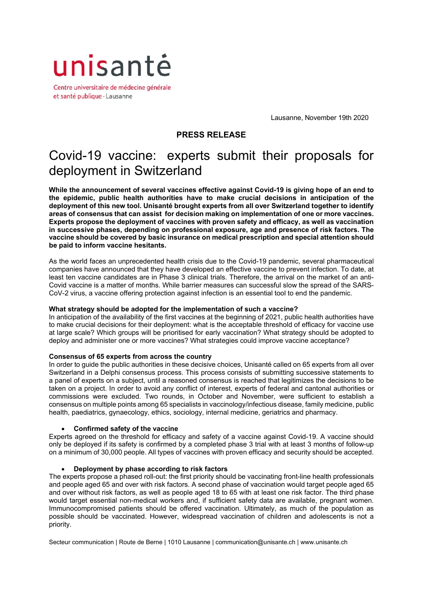

Centre universitaire de médecine générale et santé publique · Lausanne

Lausanne, November 19th 2020

## **PRESS RELEASE**

# Covid-19 vaccine: experts submit their proposals for deployment in Switzerland

**While the announcement of several vaccines effective against Covid-19 is giving hope of an end to the epidemic, public health authorities have to make crucial decisions in anticipation of the deployment of this new tool. Unisanté brought experts from all over Switzerland together to identify areas of consensus that can assist for decision making on implementation of one or more vaccines. Experts propose the deployment of vaccines with proven safety and efficacy, as well as vaccination in successive phases, depending on professional exposure, age and presence of risk factors. The vaccine should be covered by basic insurance on medical prescription and special attention should be paid to inform vaccine hesitants.** 

As the world faces an unprecedented health crisis due to the Covid-19 pandemic, several pharmaceutical companies have announced that they have developed an effective vaccine to prevent infection. To date, at least ten vaccine candidates are in Phase 3 clinical trials. Therefore, the arrival on the market of an anti-Covid vaccine is a matter of months. While barrier measures can successful slow the spread of the SARS-CoV-2 virus, a vaccine offering protection against infection is an essential tool to end the pandemic.

### **What strategy should be adopted for the implementation of such a vaccine?**

In anticipation of the availability of the first vaccines at the beginning of 2021, public health authorities have to make crucial decisions for their deployment: what is the acceptable threshold of efficacy for vaccine use at large scale? Which groups will be prioritised for early vaccination? What strategy should be adopted to deploy and administer one or more vaccines? What strategies could improve vaccine acceptance?

### **Consensus of 65 experts from across the country**

In order to guide the public authorities in these decisive choices, Unisanté called on 65 experts from all over Switzerland in a Delphi consensus process. This process consists of submitting successive statements to a panel of experts on a subject, until a reasoned consensus is reached that legitimizes the decisions to be taken on a project. In order to avoid any conflict of interest, experts of federal and cantonal authorities or commissions were excluded. Two rounds, in October and November, were sufficient to establish a consensus on multiple points among 65 specialists in vaccinology/infectious disease, family medicine, public health, paediatrics, gynaecology, ethics, sociology, internal medicine, geriatrics and pharmacy.

### **Confirmed safety of the vaccine**

Experts agreed on the threshold for efficacy and safety of a vaccine against Covid-19. A vaccine should only be deployed if its safety is confirmed by a completed phase 3 trial with at least 3 months of follow-up on a minimum of 30,000 people. All types of vaccines with proven efficacy and security should be accepted.

### **Deployment by phase according to risk factors**

The experts propose a phased roll-out: the first priority should be vaccinating front-line health professionals and people aged 65 and over with risk factors. A second phase of vaccination would target people aged 65 and over without risk factors, as well as people aged 18 to 65 with at least one risk factor. The third phase would target essential non-medical workers and, if sufficient safety data are available, pregnant women. Immunocompromised patients should be offered vaccination. Ultimately, as much of the population as possible should be vaccinated. However, widespread vaccination of children and adolescents is not a priority.

Secteur communication | Route de Berne | 1010 Lausanne | communication@unisante.ch | www.unisante.ch